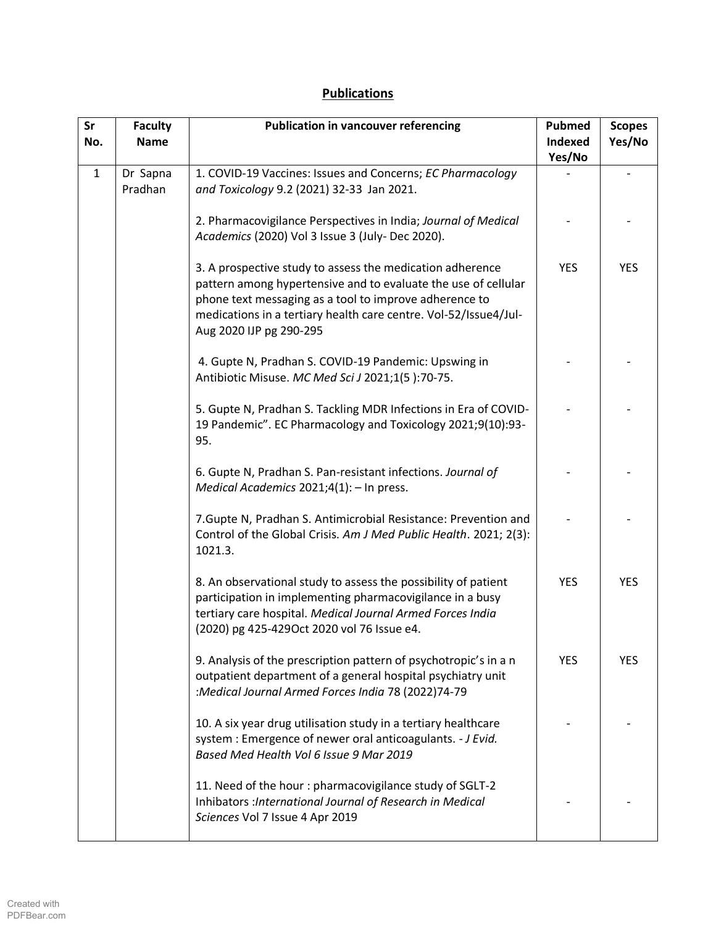## **Publications**

| Sr<br>No.    | <b>Faculty</b><br><b>Name</b> | <b>Publication in vancouver referencing</b>                                                                                                                                                                                                                                          | <b>Pubmed</b><br>Indexed<br>Yes/No | <b>Scopes</b><br>Yes/No |
|--------------|-------------------------------|--------------------------------------------------------------------------------------------------------------------------------------------------------------------------------------------------------------------------------------------------------------------------------------|------------------------------------|-------------------------|
| $\mathbf{1}$ | Dr Sapna<br>Pradhan           | 1. COVID-19 Vaccines: Issues and Concerns; EC Pharmacology<br>and Toxicology 9.2 (2021) 32-33 Jan 2021.                                                                                                                                                                              |                                    |                         |
|              |                               | 2. Pharmacovigilance Perspectives in India; Journal of Medical<br>Academics (2020) Vol 3 Issue 3 (July-Dec 2020).                                                                                                                                                                    |                                    |                         |
|              |                               | 3. A prospective study to assess the medication adherence<br>pattern among hypertensive and to evaluate the use of cellular<br>phone text messaging as a tool to improve adherence to<br>medications in a tertiary health care centre. Vol-52/Issue4/Jul-<br>Aug 2020 IJP pg 290-295 | <b>YES</b>                         | <b>YES</b>              |
|              |                               | 4. Gupte N, Pradhan S. COVID-19 Pandemic: Upswing in<br>Antibiotic Misuse. MC Med Sci J 2021;1(5):70-75.                                                                                                                                                                             |                                    |                         |
|              |                               | 5. Gupte N, Pradhan S. Tackling MDR Infections in Era of COVID-<br>19 Pandemic". EC Pharmacology and Toxicology 2021;9(10):93-<br>95.                                                                                                                                                |                                    |                         |
|              |                               | 6. Gupte N, Pradhan S. Pan-resistant infections. Journal of<br>Medical Academics 2021;4(1): - In press.                                                                                                                                                                              |                                    |                         |
|              |                               | 7. Gupte N, Pradhan S. Antimicrobial Resistance: Prevention and<br>Control of the Global Crisis. Am J Med Public Health. 2021; 2(3):<br>1021.3.                                                                                                                                      |                                    |                         |
|              |                               | 8. An observational study to assess the possibility of patient<br>participation in implementing pharmacovigilance in a busy<br>tertiary care hospital. Medical Journal Armed Forces India<br>(2020) pg 425-429Oct 2020 vol 76 Issue e4.                                              | <b>YES</b>                         | <b>YES</b>              |
|              |                               | 9. Analysis of the prescription pattern of psychotropic's in a n<br>outpatient department of a general hospital psychiatry unit<br>:Medical Journal Armed Forces India 78 (2022)74-79                                                                                                | <b>YES</b>                         | <b>YES</b>              |
|              |                               | 10. A six year drug utilisation study in a tertiary healthcare<br>system : Emergence of newer oral anticoagulants. - J Evid.<br>Based Med Health Vol 6 Issue 9 Mar 2019                                                                                                              |                                    |                         |
|              |                               | 11. Need of the hour: pharmacovigilance study of SGLT-2<br>Inhibators : International Journal of Research in Medical<br>Sciences Vol 7 Issue 4 Apr 2019                                                                                                                              |                                    |                         |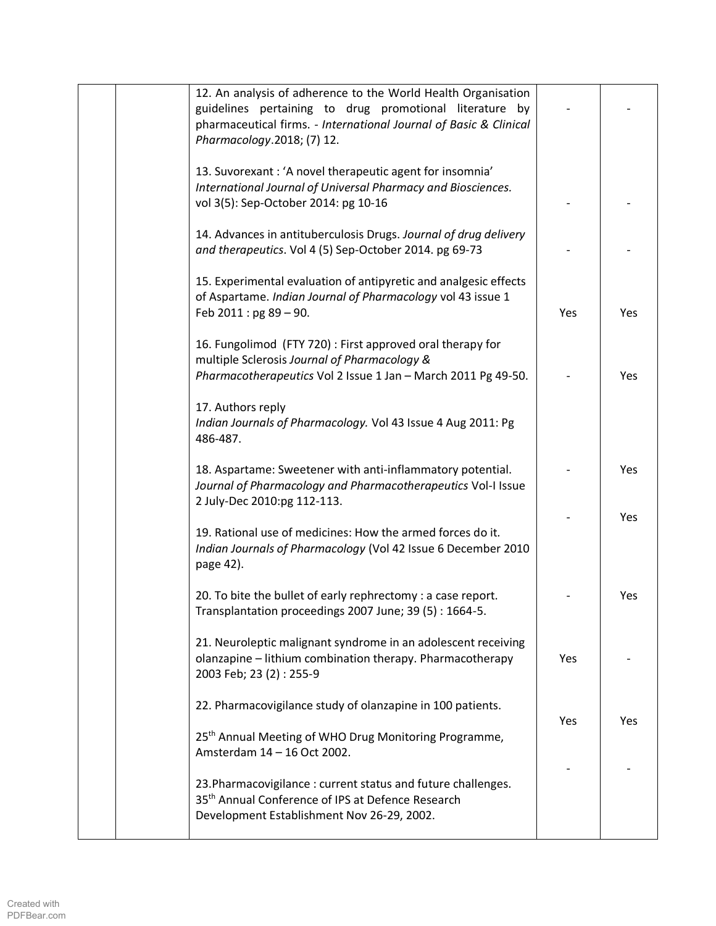| 12. An analysis of adherence to the World Health Organisation<br>guidelines pertaining to drug promotional literature by<br>pharmaceutical firms. - International Journal of Basic & Clinical<br>Pharmacology.2018; (7) 12. |     |     |
|-----------------------------------------------------------------------------------------------------------------------------------------------------------------------------------------------------------------------------|-----|-----|
| 13. Suvorexant: 'A novel therapeutic agent for insomnia'<br>International Journal of Universal Pharmacy and Biosciences.<br>vol 3(5): Sep-October 2014: pg 10-16                                                            |     |     |
| 14. Advances in antituberculosis Drugs. Journal of drug delivery<br>and therapeutics. Vol 4 (5) Sep-October 2014. pg 69-73                                                                                                  |     |     |
| 15. Experimental evaluation of antipyretic and analgesic effects<br>of Aspartame. Indian Journal of Pharmacology vol 43 issue 1<br>Feb 2011 : pg 89 - 90.                                                                   | Yes | Yes |
| 16. Fungolimod (FTY 720): First approved oral therapy for<br>multiple Sclerosis Journal of Pharmacology &<br>Pharmacotherapeutics Vol 2 Issue 1 Jan - March 2011 Pg 49-50.                                                  |     | Yes |
| 17. Authors reply<br>Indian Journals of Pharmacology. Vol 43 Issue 4 Aug 2011: Pg<br>486-487.                                                                                                                               |     |     |
| 18. Aspartame: Sweetener with anti-inflammatory potential.<br>Journal of Pharmacology and Pharmacotherapeutics Vol-I Issue<br>2 July-Dec 2010:pg 112-113.                                                                   |     | Yes |
| 19. Rational use of medicines: How the armed forces do it.<br>Indian Journals of Pharmacology (Vol 42 Issue 6 December 2010<br>page 42).                                                                                    |     | Yes |
| 20. To bite the bullet of early rephrectomy : a case report.<br>Transplantation proceedings 2007 June; 39 (5): 1664-5.                                                                                                      |     | Yes |
| 21. Neuroleptic malignant syndrome in an adolescent receiving<br>olanzapine - lithium combination therapy. Pharmacotherapy<br>2003 Feb; 23 (2): 255-9                                                                       | Yes |     |
| 22. Pharmacovigilance study of olanzapine in 100 patients.                                                                                                                                                                  | Yes | Yes |
| 25 <sup>th</sup> Annual Meeting of WHO Drug Monitoring Programme,<br>Amsterdam 14 - 16 Oct 2002.                                                                                                                            |     |     |
| 23. Pharmacovigilance: current status and future challenges.<br>35 <sup>th</sup> Annual Conference of IPS at Defence Research<br>Development Establishment Nov 26-29, 2002.                                                 |     |     |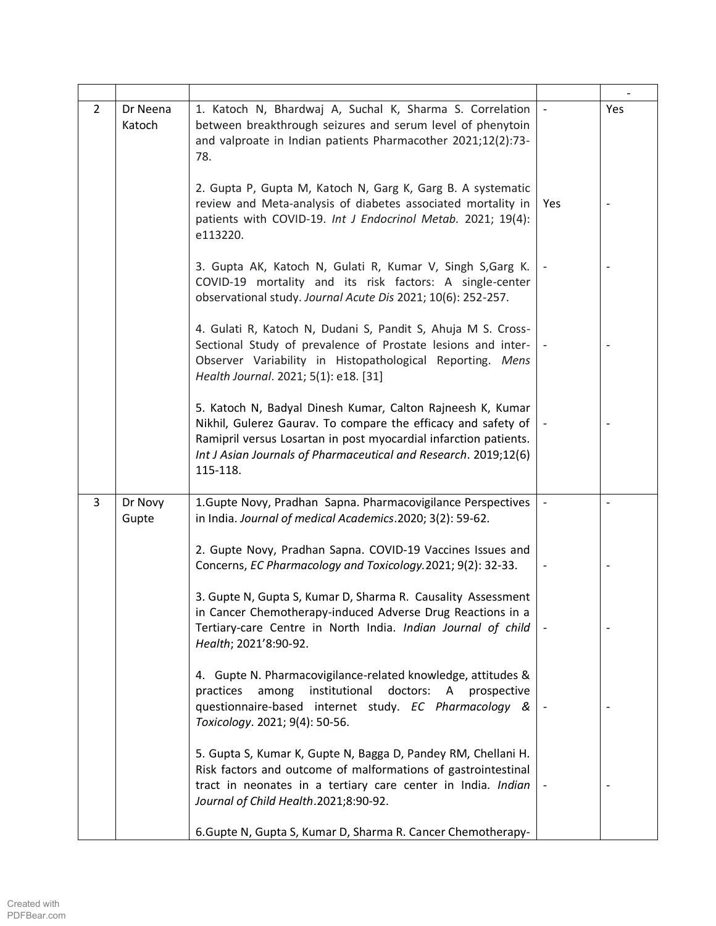| $\overline{2}$ | Dr Neena<br>Katoch | 1. Katoch N, Bhardwaj A, Suchal K, Sharma S. Correlation<br>between breakthrough seizures and serum level of phenytoin<br>and valproate in Indian patients Pharmacother 2021;12(2):73-<br>78.                                                                                  |     | <b>Yes</b> |
|----------------|--------------------|--------------------------------------------------------------------------------------------------------------------------------------------------------------------------------------------------------------------------------------------------------------------------------|-----|------------|
|                |                    | 2. Gupta P, Gupta M, Katoch N, Garg K, Garg B. A systematic<br>review and Meta-analysis of diabetes associated mortality in<br>patients with COVID-19. Int J Endocrinol Metab. 2021; 19(4):<br>e113220.                                                                        | Yes |            |
|                |                    | 3. Gupta AK, Katoch N, Gulati R, Kumar V, Singh S, Garg K.<br>COVID-19 mortality and its risk factors: A single-center<br>observational study. Journal Acute Dis 2021; 10(6): 252-257.                                                                                         |     |            |
|                |                    | 4. Gulati R, Katoch N, Dudani S, Pandit S, Ahuja M S. Cross-<br>Sectional Study of prevalence of Prostate lesions and inter-<br>Observer Variability in Histopathological Reporting. Mens<br>Health Journal. 2021; 5(1): e18. [31]                                             |     |            |
|                |                    | 5. Katoch N, Badyal Dinesh Kumar, Calton Rajneesh K, Kumar<br>Nikhil, Gulerez Gaurav. To compare the efficacy and safety of<br>Ramipril versus Losartan in post myocardial infarction patients.<br>Int J Asian Journals of Pharmaceutical and Research. 2019;12(6)<br>115-118. |     |            |
| 3              | Dr Novy<br>Gupte   | 1.Gupte Novy, Pradhan Sapna. Pharmacovigilance Perspectives<br>in India. Journal of medical Academics.2020; 3(2): 59-62.                                                                                                                                                       |     |            |
|                |                    | 2. Gupte Novy, Pradhan Sapna. COVID-19 Vaccines Issues and<br>Concerns, EC Pharmacology and Toxicology.2021; 9(2): 32-33.                                                                                                                                                      |     |            |
|                |                    | 3. Gupte N, Gupta S, Kumar D, Sharma R. Causality Assessment<br>in Cancer Chemotherapy-induced Adverse Drug Reactions in a<br>Tertiary-care Centre in North India. Indian Journal of child<br>Health; 2021'8:90-92.                                                            |     |            |
|                |                    | 4. Gupte N. Pharmacovigilance-related knowledge, attitudes &<br>institutional doctors: A<br>practices<br>among<br>prospective<br>questionnaire-based internet study. EC Pharmacology &<br>Toxicology. 2021; 9(4): 50-56.                                                       |     |            |
|                |                    | 5. Gupta S, Kumar K, Gupte N, Bagga D, Pandey RM, Chellani H.<br>Risk factors and outcome of malformations of gastrointestinal<br>tract in neonates in a tertiary care center in India. Indian<br>Journal of Child Health.2021;8:90-92.                                        |     |            |
|                |                    | 6. Gupte N, Gupta S, Kumar D, Sharma R. Cancer Chemotherapy-                                                                                                                                                                                                                   |     |            |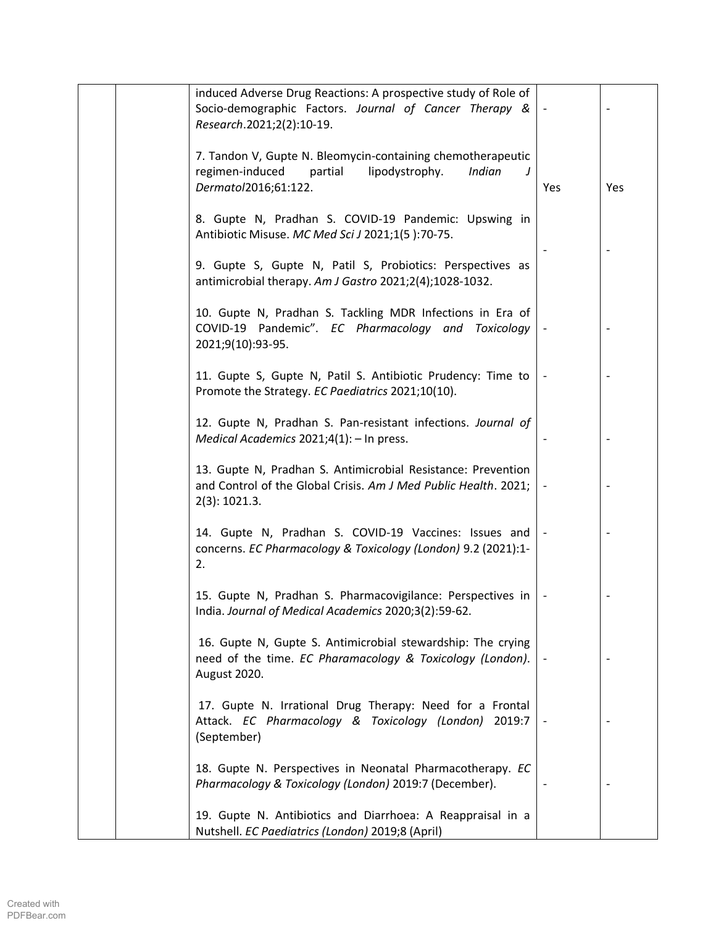|  | induced Adverse Drug Reactions: A prospective study of Role of                                                                                     |     |                          |
|--|----------------------------------------------------------------------------------------------------------------------------------------------------|-----|--------------------------|
|  | Socio-demographic Factors. Journal of Cancer Therapy &<br>Research.2021;2(2):10-19.                                                                |     |                          |
|  | 7. Tandon V, Gupte N. Bleomycin-containing chemotherapeutic<br>regimen-induced<br>lipodystrophy.<br>Indian<br>partial<br>J<br>Dermatol2016;61:122. | Yes | Yes                      |
|  | 8. Gupte N, Pradhan S. COVID-19 Pandemic: Upswing in<br>Antibiotic Misuse. MC Med Sci J 2021;1(5):70-75.                                           |     |                          |
|  | 9. Gupte S, Gupte N, Patil S, Probiotics: Perspectives as<br>antimicrobial therapy. Am J Gastro 2021;2(4);1028-1032.                               |     |                          |
|  | 10. Gupte N, Pradhan S. Tackling MDR Infections in Era of<br>COVID-19 Pandemic". EC Pharmacology and Toxicology<br>2021;9(10):93-95.               |     |                          |
|  | 11. Gupte S, Gupte N, Patil S. Antibiotic Prudency: Time to<br>Promote the Strategy. EC Paediatrics 2021;10(10).                                   |     |                          |
|  | 12. Gupte N, Pradhan S. Pan-resistant infections. Journal of<br>Medical Academics 2021;4(1): - In press.                                           |     |                          |
|  | 13. Gupte N, Pradhan S. Antimicrobial Resistance: Prevention<br>and Control of the Global Crisis. Am J Med Public Health. 2021;<br>2(3): 1021.3.   |     | $\overline{\phantom{m}}$ |
|  | 14. Gupte N, Pradhan S. COVID-19 Vaccines: Issues and<br>concerns. EC Pharmacology & Toxicology (London) 9.2 (2021):1-<br>2.                       |     |                          |
|  | 15. Gupte N, Pradhan S. Pharmacovigilance: Perspectives in<br>India. Journal of Medical Academics 2020;3(2):59-62.                                 |     |                          |
|  | 16. Gupte N, Gupte S. Antimicrobial stewardship: The crying<br>need of the time. EC Pharamacology & Toxicology (London).<br>August 2020.           |     |                          |
|  | 17. Gupte N. Irrational Drug Therapy: Need for a Frontal<br>Attack. EC Pharmacology & Toxicology (London) 2019:7<br>(September)                    |     |                          |
|  | 18. Gupte N. Perspectives in Neonatal Pharmacotherapy. EC<br>Pharmacology & Toxicology (London) 2019:7 (December).                                 |     |                          |
|  | 19. Gupte N. Antibiotics and Diarrhoea: A Reappraisal in a<br>Nutshell. EC Paediatrics (London) 2019;8 (April)                                     |     |                          |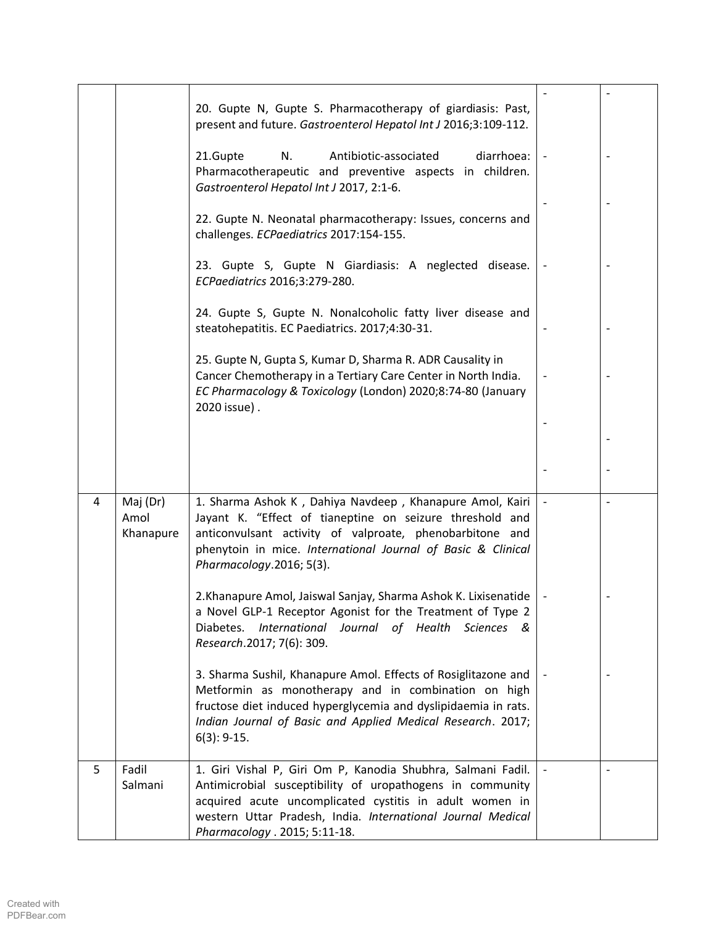|   |                               | 20. Gupte N, Gupte S. Pharmacotherapy of giardiasis: Past,<br>present and future. Gastroenterol Hepatol Int J 2016;3:109-112.                                                                                                                                                        |  |
|---|-------------------------------|--------------------------------------------------------------------------------------------------------------------------------------------------------------------------------------------------------------------------------------------------------------------------------------|--|
|   |                               | Antibiotic-associated<br>diarrhoea:<br>21.Gupte<br>N.<br>Pharmacotherapeutic and preventive aspects in children.<br>Gastroenterol Hepatol Int J 2017, 2:1-6.                                                                                                                         |  |
|   |                               | 22. Gupte N. Neonatal pharmacotherapy: Issues, concerns and<br>challenges. ECPaediatrics 2017:154-155.                                                                                                                                                                               |  |
|   |                               | 23. Gupte S, Gupte N Giardiasis: A neglected disease.<br>ECPaediatrics 2016;3:279-280.                                                                                                                                                                                               |  |
|   |                               | 24. Gupte S, Gupte N. Nonalcoholic fatty liver disease and<br>steatohepatitis. EC Paediatrics. 2017;4:30-31.                                                                                                                                                                         |  |
|   |                               | 25. Gupte N, Gupta S, Kumar D, Sharma R. ADR Causality in<br>Cancer Chemotherapy in a Tertiary Care Center in North India.<br>EC Pharmacology & Toxicology (London) 2020;8:74-80 (January<br>2020 issue).                                                                            |  |
|   |                               |                                                                                                                                                                                                                                                                                      |  |
|   |                               |                                                                                                                                                                                                                                                                                      |  |
| 4 | Maj (Dr)<br>Amol<br>Khanapure | 1. Sharma Ashok K, Dahiya Navdeep, Khanapure Amol, Kairi<br>Jayant K. "Effect of tianeptine on seizure threshold and<br>anticonvulsant activity of valproate, phenobarbitone and<br>phenytoin in mice. International Journal of Basic & Clinical<br>Pharmacology.2016; 5(3).         |  |
|   |                               | 2. Khanapure Amol, Jaiswal Sanjay, Sharma Ashok K. Lixisenatide<br>a Novel GLP-1 Receptor Agonist for the Treatment of Type 2<br>International Journal of Health Sciences &<br>Diabetes.<br>Research.2017; 7(6): 309.                                                                |  |
|   |                               | 3. Sharma Sushil, Khanapure Amol. Effects of Rosiglitazone and<br>Metformin as monotherapy and in combination on high<br>fructose diet induced hyperglycemia and dyslipidaemia in rats.<br>Indian Journal of Basic and Applied Medical Research. 2017;<br>$6(3): 9-15.$              |  |
| 5 | Fadil<br>Salmani              | 1. Giri Vishal P, Giri Om P, Kanodia Shubhra, Salmani Fadil.<br>Antimicrobial susceptibility of uropathogens in community<br>acquired acute uncomplicated cystitis in adult women in<br>western Uttar Pradesh, India. International Journal Medical<br>Pharmacology . 2015; 5:11-18. |  |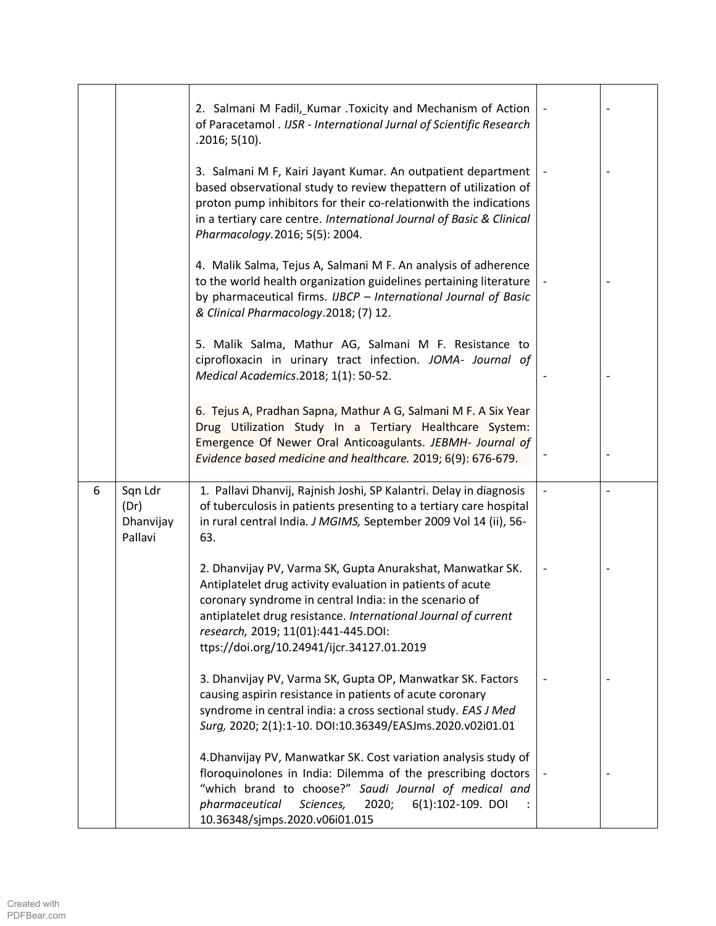|   |                                         | 2. Salmani M Fadil, Kumar . Toxicity and Mechanism of Action<br>of Paracetamol . IJSR - International Jurnal of Scientific Research<br>.2016; 5(10).                                                                                                                                                                                      |  |
|---|-----------------------------------------|-------------------------------------------------------------------------------------------------------------------------------------------------------------------------------------------------------------------------------------------------------------------------------------------------------------------------------------------|--|
|   |                                         | 3. Salmani M F, Kairi Jayant Kumar. An outpatient department<br>based observational study to review thepattern of utilization of<br>proton pump inhibitors for their co-relationwith the indications<br>in a tertiary care centre. International Journal of Basic & Clinical<br>Pharmacology.2016; 5(5): 2004.                            |  |
|   |                                         | 4. Malik Salma, Tejus A, Salmani M F. An analysis of adherence<br>to the world health organization guidelines pertaining literature<br>by pharmaceutical firms. IJBCP - International Journal of Basic<br>& Clinical Pharmacology.2018; (7) 12.                                                                                           |  |
|   |                                         | 5. Malik Salma, Mathur AG, Salmani M F. Resistance to<br>ciprofloxacin in urinary tract infection. JOMA- Journal of<br>Medical Academics.2018; 1(1): 50-52.                                                                                                                                                                               |  |
|   |                                         | 6. Tejus A, Pradhan Sapna, Mathur A G, Salmani M F. A Six Year<br>Drug Utilization Study In a Tertiary Healthcare System:<br>Emergence Of Newer Oral Anticoagulants. JEBMH- Journal of<br>Evidence based medicine and healthcare. 2019; 6(9): 676-679.                                                                                    |  |
| 6 | Sqn Ldr<br>(Dr)<br>Dhanvijay<br>Pallavi | 1. Pallavi Dhanvij, Rajnish Joshi, SP Kalantri. Delay in diagnosis<br>of tuberculosis in patients presenting to a tertiary care hospital<br>in rural central India. J MGIMS, September 2009 Vol 14 (ii), 56-<br>63.                                                                                                                       |  |
|   |                                         | 2. Dhanvijay PV, Varma SK, Gupta Anurakshat, Manwatkar SK.<br>Antiplatelet drug activity evaluation in patients of acute<br>coronary syndrome in central India: in the scenario of<br>antiplatelet drug resistance. International Journal of current<br>research, 2019; 11(01):441-445.DOI:<br>ttps://doi.org/10.24941/ijcr.34127.01.2019 |  |
|   |                                         | 3. Dhanvijay PV, Varma SK, Gupta OP, Manwatkar SK. Factors<br>causing aspirin resistance in patients of acute coronary<br>syndrome in central india: a cross sectional study. EAS J Med<br>Surg, 2020; 2(1):1-10. DOI:10.36349/EASJms.2020.v02i01.01                                                                                      |  |
|   |                                         | 4. Dhanvijay PV, Manwatkar SK. Cost variation analysis study of<br>floroquinolones in India: Dilemma of the prescribing doctors<br>"which brand to choose?" Saudi Journal of medical and<br>pharmaceutical<br>Sciences,<br>2020;<br>6(1):102-109. DOI<br>10.36348/sjmps.2020.v06i01.015                                                   |  |